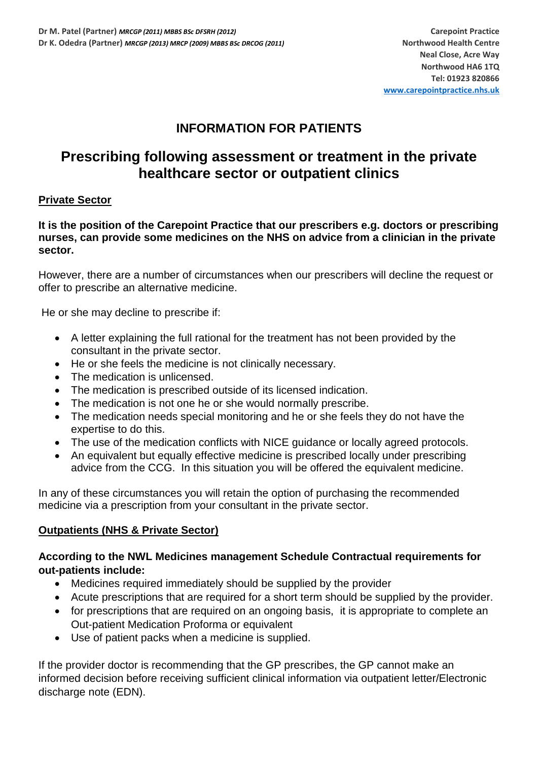## **INFORMATION FOR PATIENTS**

# **Prescribing following assessment or treatment in the private healthcare sector or outpatient clinics**

### **Private Sector**

**It is the position of the Carepoint Practice that our prescribers e.g. doctors or prescribing nurses, can provide some medicines on the NHS on advice from a clinician in the private sector.**

However, there are a number of circumstances when our prescribers will decline the request or offer to prescribe an alternative medicine.

He or she may decline to prescribe if:

- A letter explaining the full rational for the treatment has not been provided by the consultant in the private sector.
- He or she feels the medicine is not clinically necessary.
- The medication is unlicensed.
- The medication is prescribed outside of its licensed indication.
- The medication is not one he or she would normally prescribe.
- The medication needs special monitoring and he or she feels they do not have the expertise to do this.
- The use of the medication conflicts with NICE quidance or locally agreed protocols.
- An equivalent but equally effective medicine is prescribed locally under prescribing advice from the CCG. In this situation you will be offered the equivalent medicine.

In any of these circumstances you will retain the option of purchasing the recommended medicine via a prescription from your consultant in the private sector.

### **Outpatients (NHS & Private Sector)**

#### **According to the NWL Medicines management Schedule Contractual requirements for out-patients include:**

- Medicines required immediately should be supplied by the provider
- Acute prescriptions that are required for a short term should be supplied by the provider.
- for prescriptions that are required on an ongoing basis, it is appropriate to complete an Out-patient Medication Proforma or equivalent
- Use of patient packs when a medicine is supplied.

If the provider doctor is recommending that the GP prescribes, the GP cannot make an informed decision before receiving sufficient clinical information via outpatient letter/Electronic discharge note (EDN).